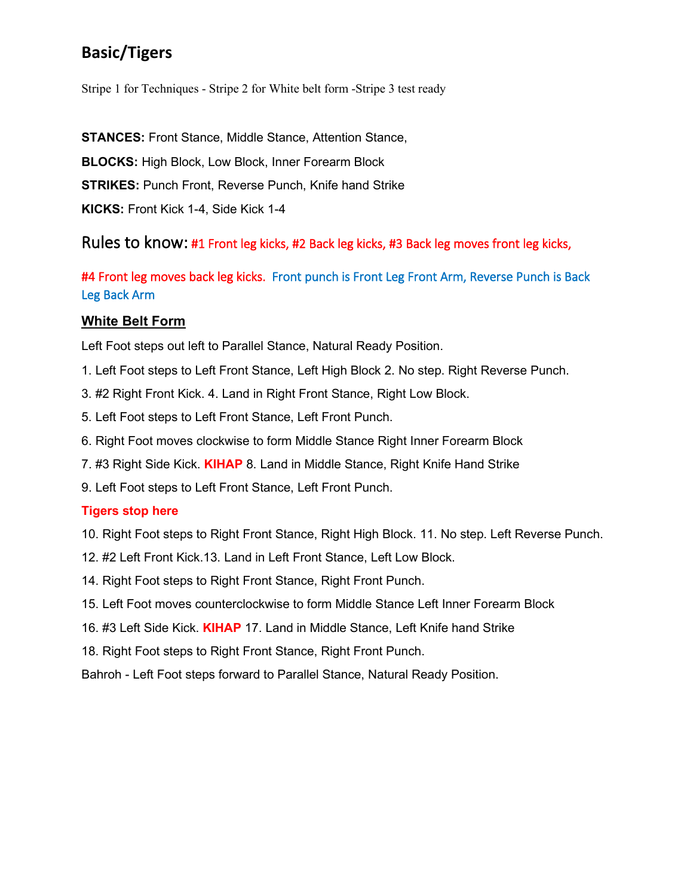### **Basic/Tigers**

Stripe 1 for Techniques - Stripe 2 for White belt form -Stripe 3 test ready

**STANCES:** Front Stance, Middle Stance, Attention Stance, **BLOCKS:** High Block, Low Block, Inner Forearm Block **STRIKES:** Punch Front, Reverse Punch, Knife hand Strike **KICKS:** Front Kick 1-4, Side Kick 1-4

Rules to know: #1 Front leg kicks, #2 Back leg kicks, #3 Back leg moves front leg kicks,

#4 Front leg moves back leg kicks. Front punch is Front Leg Front Arm, Reverse Punch is Back Leg Back Arm

#### **White Belt Form**

Left Foot steps out left to Parallel Stance, Natural Ready Position.

- 1. Left Foot steps to Left Front Stance, Left High Block 2. No step. Right Reverse Punch.
- 3. #2 Right Front Kick. 4. Land in Right Front Stance, Right Low Block.
- 5. Left Foot steps to Left Front Stance, Left Front Punch.
- 6. Right Foot moves clockwise to form Middle Stance Right Inner Forearm Block
- 7. #3 Right Side Kick. **KIHAP** 8. Land in Middle Stance, Right Knife Hand Strike
- 9. Left Foot steps to Left Front Stance, Left Front Punch.

#### **Tigers stop here**

- 10. Right Foot steps to Right Front Stance, Right High Block. 11. No step. Left Reverse Punch.
- 12. #2 Left Front Kick.13. Land in Left Front Stance, Left Low Block.
- 14. Right Foot steps to Right Front Stance, Right Front Punch.
- 15. Left Foot moves counterclockwise to form Middle Stance Left Inner Forearm Block
- 16. #3 Left Side Kick. **KIHAP** 17. Land in Middle Stance, Left Knife hand Strike
- 18. Right Foot steps to Right Front Stance, Right Front Punch.
- Bahroh Left Foot steps forward to Parallel Stance, Natural Ready Position.